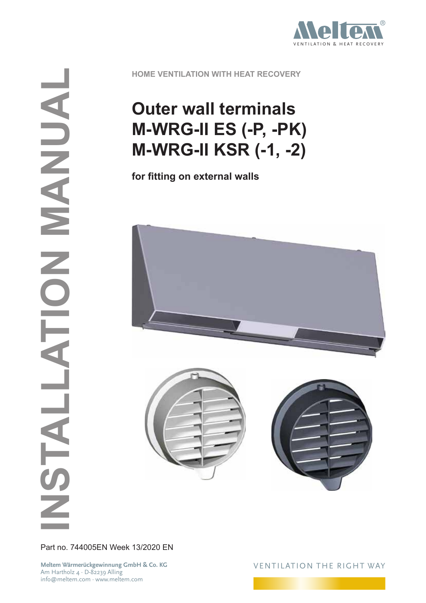

**HOME VENTILATION WITH HEAT RECOVERY**

## **Outer wall terminals M-WRG-II ES (-P, -PK) M-WRG-II KSR (-1, -2)**

**for fitting on external walls**



Part no. 744005EN Week 13/2020 EN

**Meltem Wärmerückgewinnung GmbH & Co. KG** Am Hartholz 4 · D-82239 Alling info@meltem.com · www.meltem.com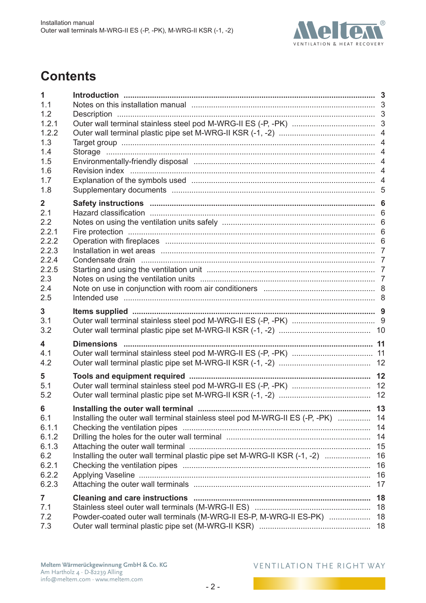

## **Contents**

| 1              |                                                                                    |    |
|----------------|------------------------------------------------------------------------------------|----|
| 1.1            | Notes on this installation manual manumental controller and all the state of the 3 |    |
| 1.2            |                                                                                    |    |
| 1.2.1          |                                                                                    |    |
| 1.2.2          |                                                                                    |    |
| 1.3            |                                                                                    |    |
| 1.4            |                                                                                    |    |
| 1.5            |                                                                                    |    |
| 1.6            |                                                                                    |    |
| 1.7            |                                                                                    |    |
| 1.8            |                                                                                    |    |
| $\overline{2}$ |                                                                                    |    |
| 2.1            |                                                                                    |    |
| 2.2            |                                                                                    |    |
| 2.2.1          |                                                                                    |    |
| 2.2.2          |                                                                                    |    |
| 2.2.3          |                                                                                    |    |
| 2.2.4          |                                                                                    |    |
| 2.2.5          |                                                                                    |    |
| 2.3            |                                                                                    |    |
| 2.4            |                                                                                    |    |
| 2.5            |                                                                                    |    |
| 3              |                                                                                    |    |
| 3.1            |                                                                                    |    |
| 3.2            |                                                                                    |    |
|                |                                                                                    |    |
| 4              |                                                                                    |    |
| 4.1            |                                                                                    |    |
| 4.2            |                                                                                    |    |
| 5              |                                                                                    |    |
| 5.1            |                                                                                    |    |
| 5.2            |                                                                                    | 12 |
| 6              | Installing the outer wall terminal.                                                | 13 |
| 6.1            | Installing the outer wall terminal stainless steel pod M-WRG-II ES (-P, -PK)  14   |    |
| 6.1.1          |                                                                                    | 14 |
| 6.1.2          |                                                                                    | 14 |
| 6.1.3          |                                                                                    | 15 |
| 6.2            | Installing the outer wall terminal plastic pipe set M-WRG-II KSR (-1, -2)          | 16 |
| 6.2.1          |                                                                                    | 16 |
| 6.2.2          |                                                                                    | 16 |
| 6.2.3          |                                                                                    | 17 |
|                |                                                                                    |    |
| 7              |                                                                                    | 18 |
| 7.1            |                                                                                    |    |
| 7.2            | Powder-coated outer wall terminals (M-WRG-II ES-P, M-WRG-II ES-PK)                 | 18 |
| 7.3            |                                                                                    |    |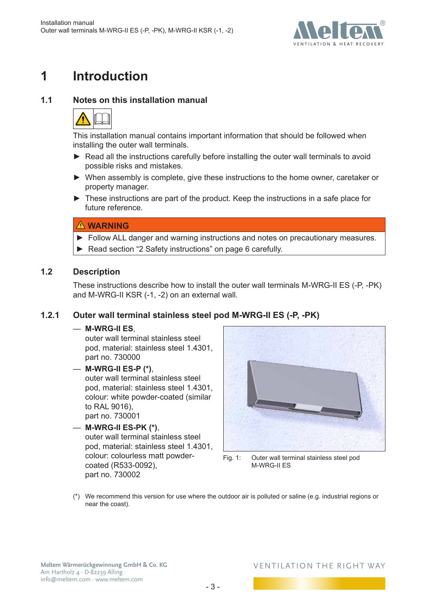

## <span id="page-2-0"></span>**1 Introduction**

### **1.1 Notes on this installation manual**



This installation manual contains important information that should be followed when installing the outer wall terminals.

- ► Read all the instructions carefully before installing the outer wall terminals to avoid possible risks and mistakes.
- ► When assembly is complete, give these instructions to the home owner, caretaker or property manager.
- ► These instructions are part of the product. Keep the instructions in a safe place for future reference.

### **WARNING**

- ► Follow ALL danger and warning instructions and notes on precautionary measures.
- ► Read section ["2 Safety instructions" on page](#page-5-1) 6 carefully.

### **1.2 Description**

These instructions describe how to install the outer wall terminals M-WRG-II ES (-P, -PK) and M-WRG-II KSR (-1, -2) on an external wall.

### **1.2.1 Outer wall terminal stainless steel pod M-WRG-II ES (-P, -PK)**

### — **M-WRG-II ES**,

outer wall terminal stainless steel pod, material: stainless steel 1.4301, part no. 730000

### — **M-WRG-II ES-P (\*)**,

outer wall terminal stainless steel pod, material: stainless steel 1.4301, colour: white powder-coated (similar to RAL 9016), part no. 730001

### — **M-WRG-II ES-PK (\*)**,

outer wall terminal stainless steel pod, material: stainless steel 1.4301, colour: colourless matt powdercoated (R533-0092), part no. 730002



Fig. 1: Outer wall terminal stainless steel pod M-WRG-II ES

(\*) We recommend this version for use where the outdoor air is polluted or saline (e.g. industrial regions or near the coast).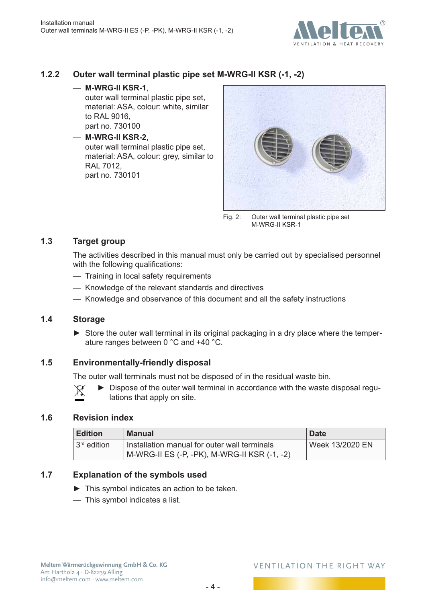

### <span id="page-3-0"></span>**1.2.2 Outer wall terminal plastic pipe set M-WRG-II KSR (-1, -2)**

— **M-WRG-II KSR-1**,

outer wall terminal plastic pipe set, material: ASA, colour: white, similar to RAL 9016, part no. 730100

— **M-WRG-II KSR-2**, outer wall terminal plastic pipe set, material: ASA, colour: grey, similar to RAL 7012, part no. 730101



Fig. 2: Outer wall terminal plastic pipe set M-WRG-II KSR-1

### **1.3 Target group**

The activities described in this manual must only be carried out by specialised personnel with the following qualifications:

- Training in local safety requirements
- Knowledge of the relevant standards and directives
- Knowledge and observance of this document and all the safety instructions

### **1.4 Storage**

► Store the outer wall terminal in its original packaging in a dry place where the temperature ranges between 0 °C and +40 °C.

### **1.5 Environmentally-friendly disposal**

The outer wall terminals must not be disposed of in the residual waste bin.

Dispose of the outer wall terminal in accordance with the waste disposal regu-⊠ lations that apply on site.

### **1.6 Revision index**

| Edition       | Manual                                                                                       | <b>Date</b>     |
|---------------|----------------------------------------------------------------------------------------------|-----------------|
| $3rd$ edition | Installation manual for outer wall terminals<br>M-WRG-II ES (-P, -PK), M-WRG-II KSR (-1, -2) | Week 13/2020 EN |

### **1.7 Explanation of the symbols used**

- ► This symbol indicates an action to be taken.
- This symbol indicates a list.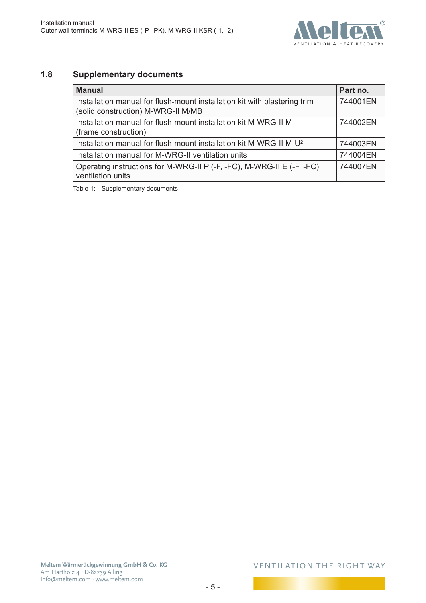

### <span id="page-4-0"></span>**1.8 Supplementary documents**

| <b>Manual</b>                                                                                                   | Part no. |
|-----------------------------------------------------------------------------------------------------------------|----------|
| Installation manual for flush-mount installation kit with plastering trim<br>(solid construction) M-WRG-II M/MB | 744001EN |
| Installation manual for flush-mount installation kit M-WRG-II M<br>(frame construction)                         | 744002EN |
| Installation manual for flush-mount installation kit M-WRG-II M-U <sup>2</sup>                                  | 744003EN |
| Installation manual for M-WRG-II ventilation units                                                              | 744004EN |
| Operating instructions for M-WRG-II P (-F, -FC), M-WRG-II E (-F, -FC)<br>ventilation units                      | 744007EN |

Table 1: Supplementary documents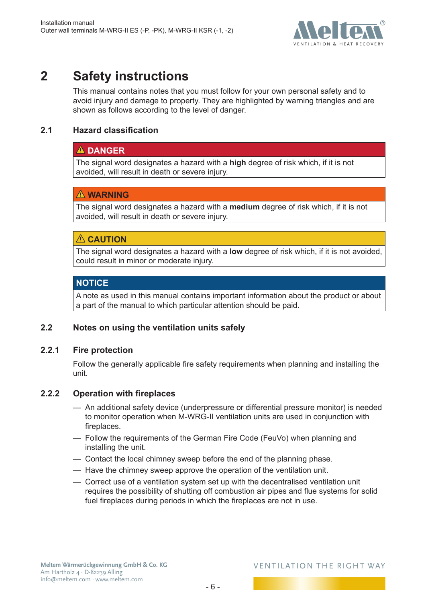

## <span id="page-5-0"></span>**2 Safety instructions**

<span id="page-5-1"></span>This manual contains notes that you must follow for your own personal safety and to avoid injury and damage to property. They are highlighted by warning triangles and are shown as follows according to the level of danger.

### **2.1 Hazard classification**

### **DANGER**

The signal word designates a hazard with a **high** degree of risk which, if it is not avoided, will result in death or severe injury.

### **WARNING**

The signal word designates a hazard with a **medium** degree of risk which, if it is not avoided, will result in death or severe injury.

### **CAUTION**

The signal word designates a hazard with a **low** degree of risk which, if it is not avoided, could result in minor or moderate injury.

### **NOTICE**

A note as used in this manual contains important information about the product or about a part of the manual to which particular attention should be paid.

### **2.2 Notes on using the ventilation units safely**

### **2.2.1 Fire protection**

Follow the generally applicable fire safety requirements when planning and installing the unit.

### **2.2.2 Operation with fireplaces**

- An additional safety device (underpressure or differential pressure monitor) is needed to monitor operation when M-WRG-II ventilation units are used in conjunction with fireplaces.
- Follow the requirements of the German Fire Code (FeuVo) when planning and installing the unit.
- Contact the local chimney sweep before the end of the planning phase.
- Have the chimney sweep approve the operation of the ventilation unit.
- Correct use of a ventilation system set up with the decentralised ventilation unit requires the possibility of shutting off combustion air pipes and flue systems for solid fuel fireplaces during periods in which the fireplaces are not in use.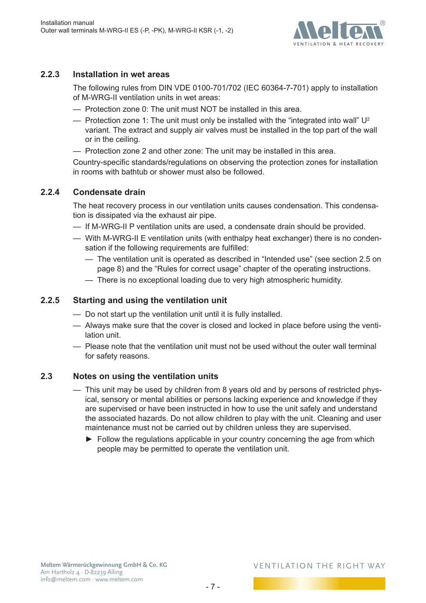

### <span id="page-6-0"></span>**2.2.3 Installation in wet areas**

The following rules from DIN VDE 0100-701/702 (IEC 60364-7-701) apply to installation of M-WRG-II ventilation units in wet areas:

- Protection zone 0: The unit must NOT be installed in this area.
- Protection zone 1: The unit must only be installed with the "integrated into wall"  $U^2$ variant. The extract and supply air valves must be installed in the top part of the wall or in the ceiling.
- Protection zone 2 and other zone: The unit may be installed in this area.

Country-specific standards/regulations on observing the protection zones for installation in rooms with bathtub or shower must also be followed.

### **2.2.4 Condensate drain**

The heat recovery process in our ventilation units causes condensation. This condensation is dissipated via the exhaust air pipe.

- If M-WRG-II P ventilation units are used, a condensate drain should be provided.
- With M-WRG-II E ventilation units (with enthalpy heat exchanger) there is no condensation if the following requirements are fulfilled:
	- The ventilation unit is operated as described in ["Intended use"](#page-7-1) (see section [2.5 on](#page-7-1)  [page](#page-7-1) 8) and the "Rules for correct usage" chapter of the operating instructions.
	- There is no exceptional loading due to very high atmospheric humidity.

### **2.2.5 Starting and using the ventilation unit**

- Do not start up the ventilation unit until it is fully installed.
- Always make sure that the cover is closed and locked in place before using the ventilation unit.
- Please note that the ventilation unit must not be used without the outer wall terminal for safety reasons.

### **2.3 Notes on using the ventilation units**

- This unit may be used by children from 8 years old and by persons of restricted physical, sensory or mental abilities or persons lacking experience and knowledge if they are supervised or have been instructed in how to use the unit safely and understand the associated hazards. Do not allow children to play with the unit. Cleaning and user maintenance must not be carried out by children unless they are supervised.
	- ► Follow the regulations applicable in your country concerning the age from which people may be permitted to operate the ventilation unit.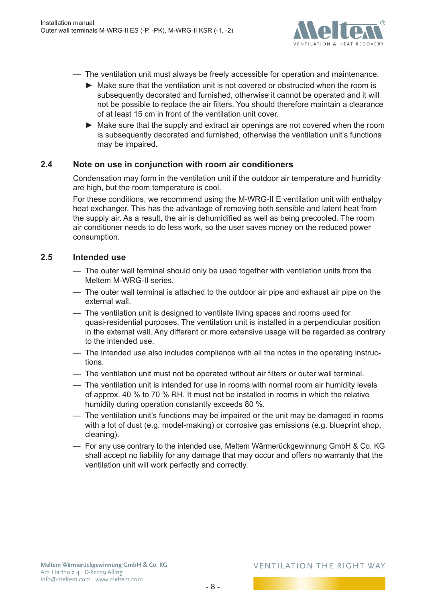

- <span id="page-7-0"></span>— The ventilation unit must always be freely accessible for operation and maintenance.
	- ► Make sure that the ventilation unit is not covered or obstructed when the room is subsequently decorated and furnished, otherwise it cannot be operated and it will not be possible to replace the air filters. You should therefore maintain a clearance of at least 15 cm in front of the ventilation unit cover.
	- ► Make sure that the supply and extract air openings are not covered when the room is subsequently decorated and furnished, otherwise the ventilation unit's functions may be impaired.

### **2.4 Note on use in conjunction with room air conditioners**

Condensation may form in the ventilation unit if the outdoor air temperature and humidity are high, but the room temperature is cool.

For these conditions, we recommend using the M-WRG-II E ventilation unit with enthalpy heat exchanger. This has the advantage of removing both sensible and latent heat from the supply air. As a result, the air is dehumidified as well as being precooled. The room air conditioner needs to do less work, so the user saves money on the reduced power consumption.

### **2.5 Intended use**

- <span id="page-7-1"></span>— The outer wall terminal should only be used together with ventilation units from the Meltem M-WRG-II series.
- The outer wall terminal is attached to the outdoor air pipe and exhaust air pipe on the external wall.
- The ventilation unit is designed to ventilate living spaces and rooms used for quasi-residential purposes. The ventilation unit is installed in a perpendicular position in the external wall. Any different or more extensive usage will be regarded as contrary to the intended use.
- The intended use also includes compliance with all the notes in the operating instructions.
- The ventilation unit must not be operated without air filters or outer wall terminal.
- The ventilation unit is intended for use in rooms with normal room air humidity levels of approx. 40 % to 70 % RH. It must not be installed in rooms in which the relative humidity during operation constantly exceeds 80 %.
- The ventilation unit's functions may be impaired or the unit may be damaged in rooms with a lot of dust (e.g. model-making) or corrosive gas emissions (e.g. blueprint shop, cleaning).
- For any use contrary to the intended use, Meltem Wärmerückgewinnung GmbH & Co. KG shall accept no liability for any damage that may occur and offers no warranty that the ventilation unit will work perfectly and correctly.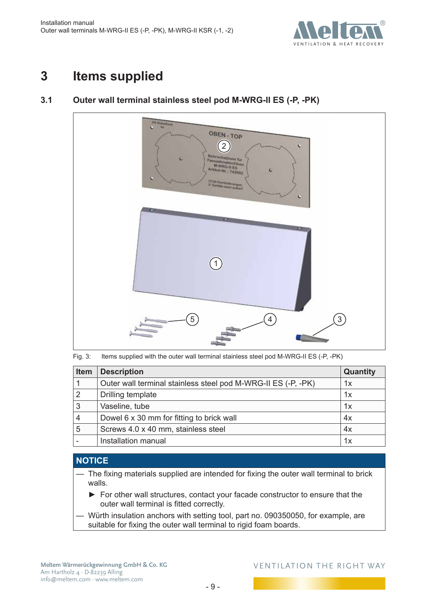

## <span id="page-8-0"></span>**3 Items supplied**

### **3.1 Outer wall terminal stainless steel pod M-WRG-II ES (-P, -PK)**

<span id="page-8-1"></span>

Fig. 3: Items supplied with the outer wall terminal stainless steel pod M-WRG-II ES (-P, -PK)

| <b>Item</b> | <b>Description</b>                                            | Quantity |
|-------------|---------------------------------------------------------------|----------|
|             | Outer wall terminal stainless steel pod M-WRG-II ES (-P, -PK) | 1x       |
| 2           | Drilling template                                             | 1x       |
| 3           | Vaseline, tube                                                | 1x       |
| 4           | Dowel 6 x 30 mm for fitting to brick wall                     | 4x       |
| 5           | Screws 4.0 x 40 mm, stainless steel                           | 4x       |
|             | Installation manual                                           | 1x       |

### **NOTICE**

- The fixing materials supplied are intended for fixing the outer wall terminal to brick walls.
	- ► For other wall structures, contact your facade constructor to ensure that the outer wall terminal is fitted correctly.
- Würth insulation anchors with setting tool, part no. 090350050, for example, are suitable for fixing the outer wall terminal to rigid foam boards.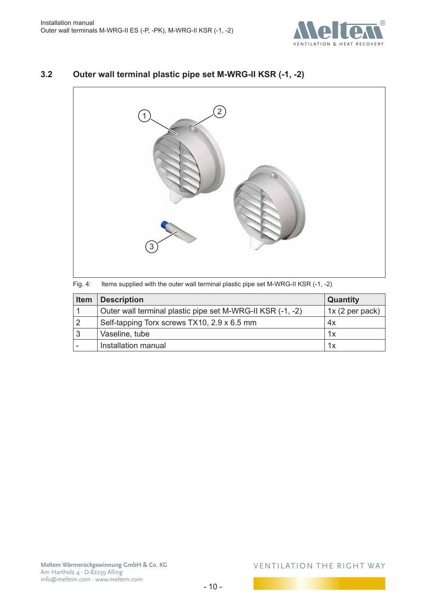

### <span id="page-9-0"></span>**3.2 Outer wall terminal plastic pipe set M-WRG-II KSR (-1, -2)**



|  | Fig. 4: Items supplied with the outer wall terminal plastic pipe set M-WRG-II KSR (-1, -2) |  |  |  |  |
|--|--------------------------------------------------------------------------------------------|--|--|--|--|
|--|--------------------------------------------------------------------------------------------|--|--|--|--|

| Item | <b>Description</b>                                         | <b>Quantity</b> |
|------|------------------------------------------------------------|-----------------|
|      | Outer wall terminal plastic pipe set M-WRG-II KSR (-1, -2) | 1x (2 per pack) |
| 2    | Self-tapping Torx screws TX10, 2.9 x 6.5 mm                | 4x              |
| 3    | Vaseline, tube                                             | 1x              |
| -    | Installation manual                                        | 1x              |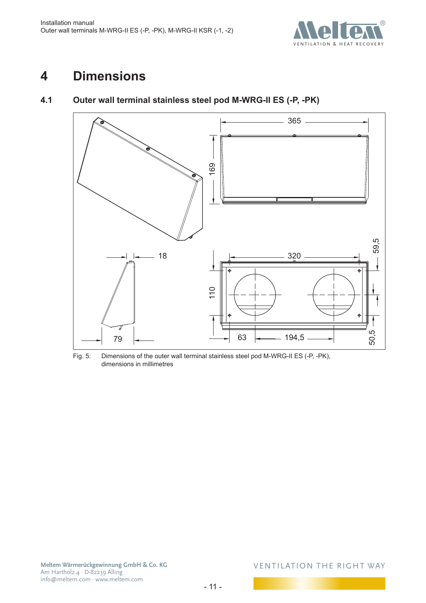

## <span id="page-10-0"></span>**4 Dimensions**

### **4.1 Outer wall terminal stainless steel pod M-WRG-II ES (-P, -PK)**



Fig. 5: Dimensions of the outer wall terminal stainless steel pod M-WRG-II ES (-P, -PK), dimensions in millimetres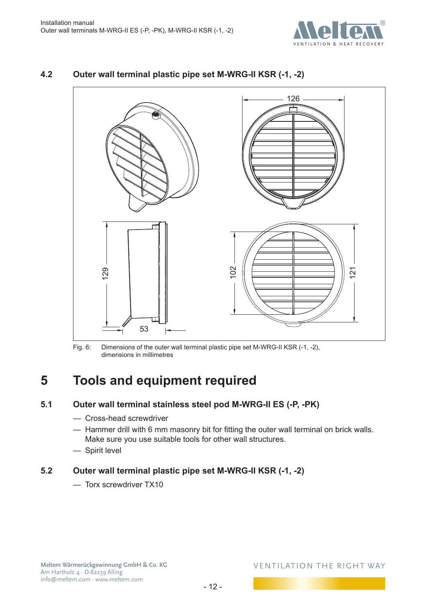

# 129 53 102 126 121

### <span id="page-11-0"></span>**4.2 Outer wall terminal plastic pipe set M-WRG-II KSR (-1, -2)**

Fig. 6: Dimensions of the outer wall terminal plastic pipe set M-WRG-II KSR (-1, -2), dimensions in millimetres

## **5 Tools and equipment required**

### **5.1 Outer wall terminal stainless steel pod M-WRG-II ES (-P, -PK)**

- Cross-head screwdriver
- Hammer drill with 6 mm masonry bit for fitting the outer wall terminal on brick walls. Make sure you use suitable tools for other wall structures.
- Spirit level

### **5.2 Outer wall terminal plastic pipe set M-WRG-II KSR (-1, -2)**

— Torx screwdriver TX10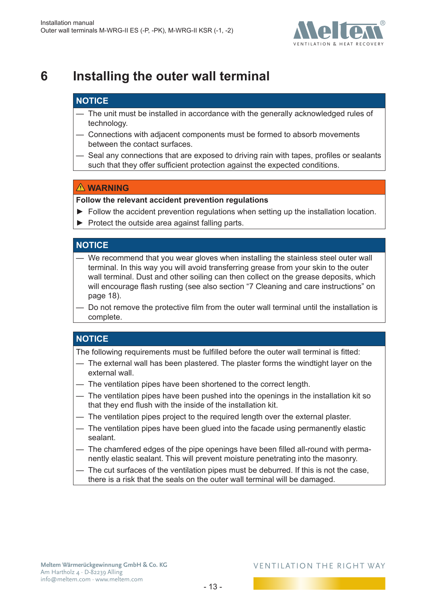

## <span id="page-12-0"></span>**6 Installing the outer wall terminal**

### **NOTICE**

- The unit must be installed in accordance with the generally acknowledged rules of technology.
- Connections with adjacent components must be formed to absorb movements between the contact surfaces.
- Seal any connections that are exposed to driving rain with tapes, profiles or sealants such that they offer sufficient protection against the expected conditions.

### **WARNING**

**Follow the relevant accident prevention regulations**

- ► Follow the accident prevention regulations when setting up the installation location.
- ► Protect the outside area against falling parts.

### **NOTICE**

- We recommend that you wear gloves when installing the stainless steel outer wall terminal. In this way you will avoid transferring grease from your skin to the outer wall terminal. Dust and other soiling can then collect on the grease deposits, which will encourage flash rusting (see also section "7 Cleaning and care [instructions"](#page-17-1) on [page](#page-17-1) 18).
- Do not remove the protective film from the outer wall terminal until the installation is complete.

### **NOTICE**

The following requirements must be fulfilled before the outer wall terminal is fitted:

- The external wall has been plastered. The plaster forms the windtight layer on the external wall.
- The ventilation pipes have been shortened to the correct length.
- The ventilation pipes have been pushed into the openings in the installation kit so that they end flush with the inside of the installation kit.
- The ventilation pipes project to the required length over the external plaster.
- The ventilation pipes have been glued into the facade using permanently elastic sealant.
- The chamfered edges of the pipe openings have been filled all-round with permanently elastic sealant. This will prevent moisture penetrating into the masonry.
- The cut surfaces of the ventilation pipes must be deburred. If this is not the case, there is a risk that the seals on the outer wall terminal will be damaged.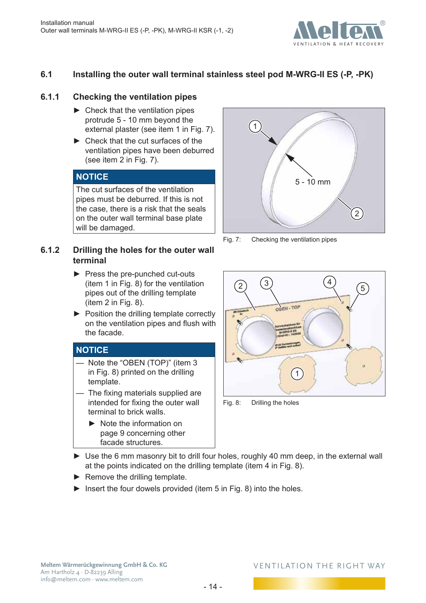

### <span id="page-13-0"></span>**6.1 Installing the outer wall terminal stainless steel pod M-WRG-II ES (-P, -PK)**

### **6.1.1 Checking the ventilation pipes**

- $\blacktriangleright$  Check that the ventilation pipes protrude 5 - 10 mm beyond the external plaster (see item 1 in [Fig.](#page-13-1) 7).
- ► Check that the cut surfaces of the ventilation pipes have been deburred (see item 2 in [Fig.](#page-13-1) 7).

### **NOTICE**

The cut surfaces of the ventilation pipes must be deburred. If this is not the case, there is a risk that the seals on the outer wall terminal base plate will be damaged.

### **6.1.2 Drilling the holes for the outer wall terminal**

- ► Press the pre-punched cut-outs (item 1 in [Fig.](#page-13-2) 8) for the ventilation pipes out of the drilling template (item 2 in [Fig.](#page-13-2) 8).
- ► Position the drilling template correctly on the ventilation pipes and flush with the facade.

### **NOTICE**

- Note the "OBEN (TOP)" (item 3 in [Fig.](#page-13-2) 8) printed on the drilling template.
- The fixing materials supplied are intended for fixing the outer wall terminal to brick walls.
	- ► Note the information on [page](#page-8-1) 9 concerning other facade structures.



Fig. 7: Checking the ventilation pipes

<span id="page-13-1"></span>

<span id="page-13-2"></span>Fig. 8: Drilling the holes

- ► Use the 6 mm masonry bit to drill four holes, roughly 40 mm deep, in the external wall at the points indicated on the drilling template (item 4 in [Fig.](#page-13-2) 8).
- $\blacktriangleright$  Remove the drilling template.
- $\blacktriangleright$  Insert the four dowels provided (item 5 in [Fig.](#page-13-2) 8) into the holes.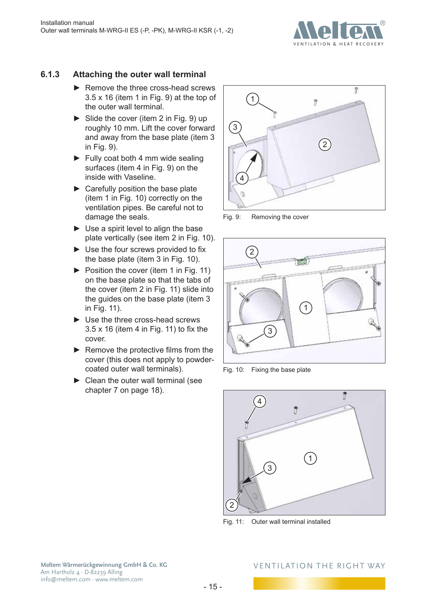

### <span id="page-14-0"></span>**6.1.3 Attaching the outer wall terminal**

- ► Remove the three cross-head screws 3.5 x 16 (item 1 in [Fig.](#page-14-1) 9) at the top of the outer wall terminal.
- $\triangleright$  Slide the cover (item 2 in [Fig.](#page-14-1) 9) up roughly 10 mm. Lift the cover forward and away from the base plate (item 3 in [Fig.](#page-14-1) 9).
- $\blacktriangleright$  Fully coat both 4 mm wide sealing surfaces (item 4 in [Fig.](#page-14-1) 9) on the inside with Vaseline.
- $\blacktriangleright$  Carefully position the base plate (item 1 in [Fig.](#page-14-2) 10) correctly on the ventilation pipes. Be careful not to damage the seals.
- $\blacktriangleright$  Use a spirit level to align the base plate vertically (see item 2 in [Fig.](#page-14-2) 10).
- ► Use the four screws provided to fix the base plate (item 3 in [Fig.](#page-14-2) 10).
- ► Position the cover (item 1 in [Fig.](#page-14-3) 11) on the base plate so that the tabs of the cover (item 2 in [Fig.](#page-14-3) 11) slide into the guides on the base plate (item 3 in [Fig.](#page-14-3) 11).
- ► Use the three cross-head screws 3.5 x 16 (item 4 in [Fig.](#page-14-3) 11) to fix the cover.
- ► Remove the protective films from the cover (this does not apply to powdercoated outer wall terminals).
- $\blacktriangleright$  Clean the outer wall terminal (see chapter [7](#page-17-1) on [page](#page-17-1) 18).



<span id="page-14-1"></span>Fig. 9: Removing the cover



Fig. 10: Fixing the base plate

<span id="page-14-2"></span>

<span id="page-14-3"></span>Fig. 11: Outer wall terminal installed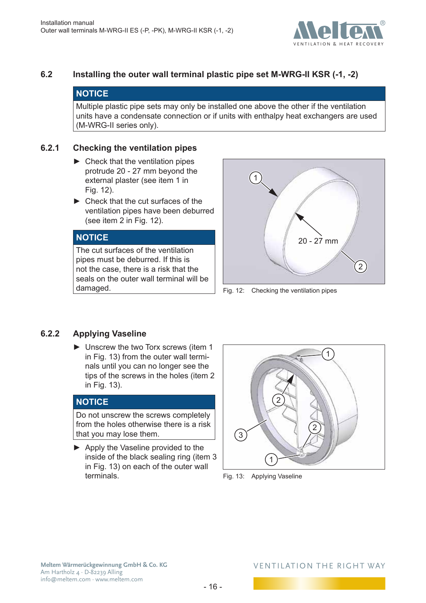

### <span id="page-15-0"></span>**6.2 Installing the outer wall terminal plastic pipe set M-WRG-II KSR (-1, -2)**

### **NOTICE**

Multiple plastic pipe sets may only be installed one above the other if the ventilation units have a condensate connection or if units with enthalpy heat exchangers are used (M-WRG-II series only).

### **6.2.1 Checking the ventilation pipes**

- $\blacktriangleright$  Check that the ventilation pipes protrude 20 - 27 mm beyond the external plaster (see item 1 in Fig. 12).
- ► Check that the cut surfaces of the ventilation pipes have been deburred (see item 2 in Fig. 12).

### **NOTICE**

The cut surfaces of the ventilation pipes must be deburred. If this is not the case, there is a risk that the seals on the outer wall terminal will be damaged.



Fig. 12: Checking the ventilation pipes

### **6.2.2 Applying Vaseline**

► Unscrew the two Torx screws (item 1 in [Fig.](#page-15-1) 13) from the outer wall terminals until you can no longer see the tips of the screws in the holes (item 2 in [Fig.](#page-15-1) 13).

### **NOTICE**

Do not unscrew the screws completely from the holes otherwise there is a risk that you may lose them.

► Apply the Vaseline provided to the inside of the black sealing ring (item 3 in [Fig.](#page-15-1) 13) on each of the outer wall terminals.

<span id="page-15-1"></span>

Fig. 13: Applying Vaseline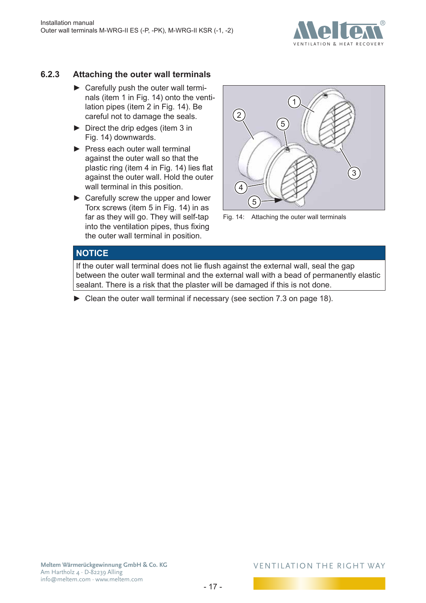

### <span id="page-16-0"></span>**6.2.3 Attaching the outer wall terminals**

- ► Carefully push the outer wall terminals (item 1 in [Fig.](#page-16-1) 14) onto the ventilation pipes (item 2 in [Fig.](#page-16-1) 14). Be careful not to damage the seals.
- ► Direct the drip edges (item 3 in [Fig.](#page-16-1) 14) downwards.
- $\blacktriangleright$  Press each outer wall terminal against the outer wall so that the plastic ring (item 4 in [Fig.](#page-16-1) 14) lies flat against the outer wall. Hold the outer wall terminal in this position.
- ► Carefully screw the upper and lower Torx screws (item 5 in [Fig.](#page-16-1) 14) in as far as they will go. They will self-tap into the ventilation pipes, thus fixing the outer wall terminal in position.



<span id="page-16-1"></span>

### **NOTICE**

If the outer wall terminal does not lie flush against the external wall, seal the gap between the outer wall terminal and the external wall with a bead of permanently elastic sealant. There is a risk that the plaster will be damaged if this is not done.

► Clean the outer wall terminal if necessary (see section [7.3 on page](#page-17-2) 18).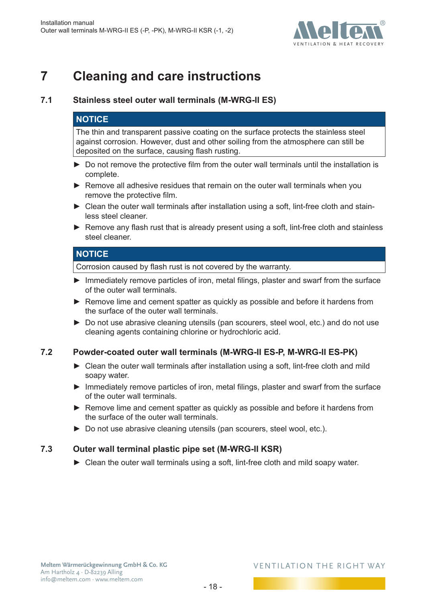

## <span id="page-17-0"></span>**7 Cleaning and care instructions**

### **7.1 Stainless steel outer wall terminals (M-WRG-II ES)**

### <span id="page-17-1"></span>**NOTICE**

The thin and transparent passive coating on the surface protects the stainless steel against corrosion. However, dust and other soiling from the atmosphere can still be deposited on the surface, causing flash rusting.

- ► Do not remove the protective film from the outer wall terminals until the installation is complete.
- ► Remove all adhesive residues that remain on the outer wall terminals when you remove the protective film.
- ► Clean the outer wall terminals after installation using a soft, lint-free cloth and stainless steel cleaner.
- ► Remove any flash rust that is already present using a soft, lint-free cloth and stainless steel cleaner.

### **NOTICE**

Corrosion caused by flash rust is not covered by the warranty.

- ► Immediately remove particles of iron, metal filings, plaster and swarf from the surface of the outer wall terminals.
- ► Remove lime and cement spatter as quickly as possible and before it hardens from the surface of the outer wall terminals.
- ► Do not use abrasive cleaning utensils (pan scourers, steel wool, etc.) and do not use cleaning agents containing chlorine or hydrochloric acid.

### **7.2 Powder-coated outer wall terminals (M-WRG-II ES-P, M-WRG-II ES-PK)**

- ► Clean the outer wall terminals after installation using a soft, lint-free cloth and mild soapy water.
- ► Immediately remove particles of iron, metal filings, plaster and swarf from the surface of the outer wall terminals.
- ► Remove lime and cement spatter as quickly as possible and before it hardens from the surface of the outer wall terminals.
- ► Do not use abrasive cleaning utensils (pan scourers, steel wool, etc.).

### **7.3 Outer wall terminal plastic pipe set (M-WRG-II KSR)**

<span id="page-17-2"></span>► Clean the outer wall terminals using a soft, lint-free cloth and mild soapy water.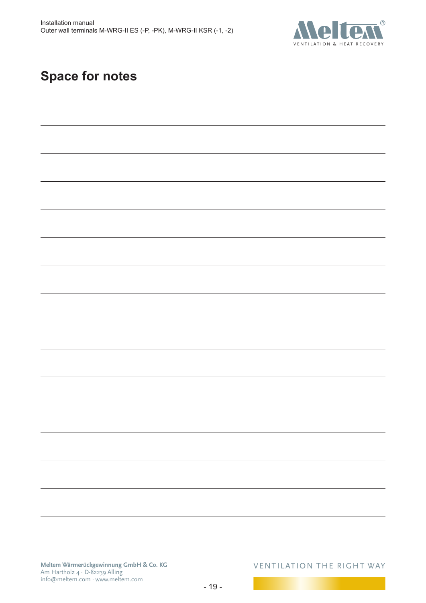

## **Space for notes**

**Meltem Wärmerückgewinnung GmbH & Co. KG** Am Hartholz 4 · D-82239 Alling info@meltem.com · www.meltem.com